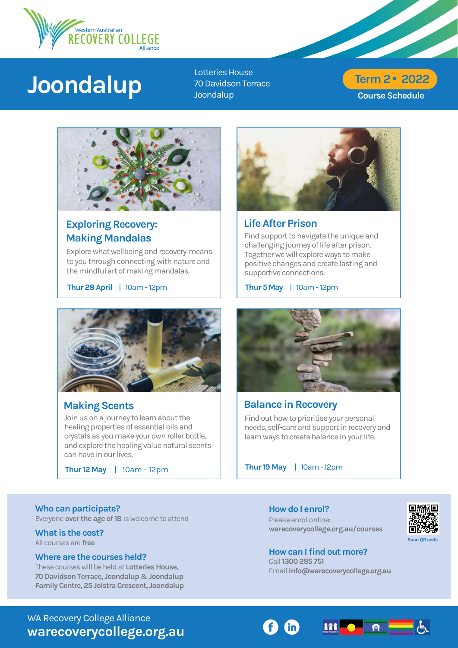

# **Joondalup**

Lotteries House 70 Davidson Terrace Joondalup

# Course Schedule Term 2 **•** 2022



# Exploring Recovery: Making Mandalas

Explore what wellbeing and recovery means to you through connecting with nature and the mindful art of making mandalas.

Thur 28April | 10am - 12pm



# Making Scents

Join us on a journey to learn about the healing properties of essential oils and crystals as you make your own roller bottle, and explore the healing value natural scents can have in our lives.

Thur 12 May | 10am - 12pm



Life After Prison

Find support to navigate the unique and challenging journey of life after prison. Together we will explore ways to make positive changes and create lasting and supportive connections.

Thur 5 May | 10am - 12pm



## Balance in Recovery

Find out how to prioritise your personal needs, self-care and support in recovery and learn ways to create balance in your life.

Thur 19 May | 10am - 12pm

### Who can participate?

Everyone over the age of 18 is welcome to attend

What is the cost? All courses are free

### Where are the courses held?

These courses will be held at Lotteries House, 70 Davidson Terrace, Joondalup & Joondalup Family Centre, 25 Jolstra Crescent, Joondalup How do I enrol? Please enrol online: [warecoverycollege.org.au/courses](https://warecoverycollege.org.au/courses/)



#### How can I find out more? Call 1300 285 751 Email info@warecoverycollege.org.au

WA Recovery College Alliance warecoverycollege.org.au